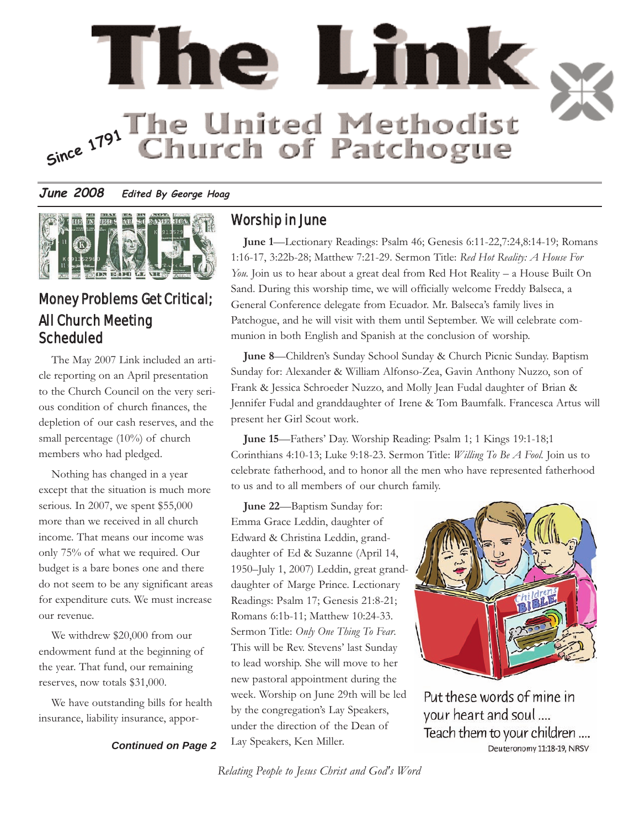

### **June 2008 Edited By George Hoag**



# Money Problems Get Critical; All Church Meeting Scheduled

The May 2007 Link included an article reporting on an April presentation to the Church Council on the very serious condition of church finances, the depletion of our cash reserves, and the small percentage (10%) of church members who had pledged.

Nothing has changed in a year except that the situation is much more serious. In 2007, we spent \$55,000 more than we received in all church income. That means our income was only 75% of what we required. Our budget is a bare bones one and there do not seem to be any significant areas for expenditure cuts. We must increase our revenue.

We withdrew \$20,000 from our endowment fund at the beginning of the year. That fund, our remaining reserves, now totals \$31,000.

We have outstanding bills for health insurance, liability insurance, appor-

#### *Continued on Page 2*

## Worship in June

**June 1**—Lectionary Readings: Psalm 46; Genesis 6:11-22,7:24,8:14-19; Romans 1:16-17, 3:22b-28; Matthew 7:21-29. Sermon Title: *Red Hot Reality: A House For You*. Join us to hear about a great deal from Red Hot Reality – a House Built On Sand. During this worship time, we will officially welcome Freddy Balseca, a General Conference delegate from Ecuador. Mr. Balseca's family lives in Patchogue, and he will visit with them until September. We will celebrate communion in both English and Spanish at the conclusion of worship.

**June 8**—Children's Sunday School Sunday & Church Picnic Sunday. Baptism Sunday for: Alexander & William Alfonso-Zea, Gavin Anthony Nuzzo, son of Frank & Jessica Schroeder Nuzzo, and Molly Jean Fudal daughter of Brian & Jennifer Fudal and granddaughter of Irene & Tom Baumfalk. Francesca Artus will present her Girl Scout work.

**June 15**—Fathers' Day. Worship Reading: Psalm 1; 1 Kings 19:1-18;1 Corinthians 4:10-13; Luke 9:18-23. Sermon Title: *Willing To Be A Fool.* Join us to celebrate fatherhood, and to honor all the men who have represented fatherhood to us and to all members of our church family.

**June 22**—Baptism Sunday for: Emma Grace Leddin, daughter of Edward & Christina Leddin, granddaughter of Ed & Suzanne (April 14, 1950–July 1, 2007) Leddin, great granddaughter of Marge Prince. Lectionary Readings: Psalm 17; Genesis 21:8-21; Romans 6:1b-11; Matthew 10:24-33. Sermon Title: *Only One Thing To Fear*. This will be Rev. Stevens' last Sunday to lead worship. She will move to her new pastoral appointment during the week. Worship on June 29th will be led by the congregation's Lay Speakers, under the direction of the Dean of Lay Speakers, Ken Miller.



Put these words of mine in your heart and soul.... Teach them to your children .... Deuteronomy 11:18-19, NRSV

*Relating People to Jesus Christ and God's Word*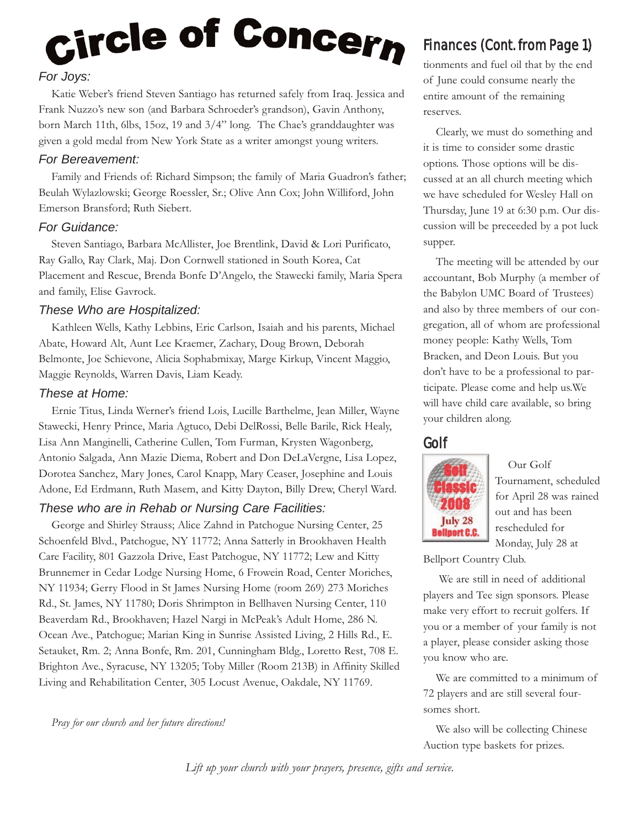# Circle of Concern *For Joys:*

Katie Weber's friend Steven Santiago has returned safely from Iraq. Jessica and Frank Nuzzo's new son (and Barbara Schroeder's grandson), Gavin Anthony, born March 11th, 6lbs, 15oz, 19 and 3/4" long. The Chae's granddaughter was given a gold medal from New York State as a writer amongst young writers.

### *For Bereavement:*

Family and Friends of: Richard Simpson; the family of Maria Guadron's father; Beulah Wylazlowski; George Roessler, Sr.; Olive Ann Cox; John Williford, John Emerson Bransford; Ruth Siebert.

#### *For Guidance:*

Steven Santiago, Barbara McAllister, Joe Brentlink, David & Lori Purificato, Ray Gallo, Ray Clark, Maj. Don Cornwell stationed in South Korea, Cat Placement and Rescue, Brenda Bonfe D'Angelo, the Stawecki family, Maria Spera and family, Elise Gavrock.

#### *These Who are Hospitalized:*

Kathleen Wells, Kathy Lebbins, Eric Carlson, Isaiah and his parents, Michael Abate, Howard Alt, Aunt Lee Kraemer, Zachary, Doug Brown, Deborah Belmonte, Joe Schievone, Alicia Sophabmixay, Marge Kirkup, Vincent Maggio, Maggie Reynolds, Warren Davis, Liam Keady.

#### *These at Home:*

Ernie Titus, Linda Werner's friend Lois, Lucille Barthelme, Jean Miller, Wayne Stawecki, Henry Prince, Maria Agtuco, Debi DelRossi, Belle Barile, Rick Healy, Lisa Ann Manginelli, Catherine Cullen, Tom Furman, Krysten Wagonberg, Antonio Salgada, Ann Mazie Diema, Robert and Don DeLaVergne, Lisa Lopez, Dorotea Sanchez, Mary Jones, Carol Knapp, Mary Ceaser, Josephine and Louis Adone, Ed Erdmann, Ruth Masem, and Kitty Dayton, Billy Drew, Cheryl Ward.

## *These who are in Rehab or Nursing Care Facilities:*

George and Shirley Strauss; Alice Zahnd in Patchogue Nursing Center, 25 Schoenfeld Blvd., Patchogue, NY 11772; Anna Satterly in Brookhaven Health Care Facility, 801 Gazzola Drive, East Patchogue, NY 11772; Lew and Kitty Brunnemer in Cedar Lodge Nursing Home, 6 Frowein Road, Center Moriches, NY 11934; Gerry Flood in St James Nursing Home (room 269) 273 Moriches Rd., St. James, NY 11780; Doris Shrimpton in Bellhaven Nursing Center, 110 Beaverdam Rd., Brookhaven; Hazel Nargi in McPeak's Adult Home, 286 N. Ocean Ave., Patchogue; Marian King in Sunrise Assisted Living, 2 Hills Rd., E. Setauket, Rm. 2; Anna Bonfe, Rm. 201, Cunningham Bldg., Loretto Rest, 708 E. Brighton Ave., Syracuse, NY 13205; Toby Miller (Room 213B) in Affinity Skilled Living and Rehabilitation Center, 305 Locust Avenue, Oakdale, NY 11769.

*Pray for our church and her future directions!*

# Finances (Cont. from Page 1)

tionments and fuel oil that by the end of June could consume nearly the entire amount of the remaining reserves.

Clearly, we must do something and it is time to consider some drastic options. Those options will be discussed at an all church meeting which we have scheduled for Wesley Hall on Thursday, June 19 at 6:30 p.m. Our discussion will be preceeded by a pot luck supper.

The meeting will be attended by our accountant, Bob Murphy (a member of the Babylon UMC Board of Trustees) and also by three members of our congregation, all of whom are professional money people: Kathy Wells, Tom Bracken, and Deon Louis. But you don't have to be a professional to participate. Please come and help us.We will have child care available, so bring your children along.

## Golf



Our Golf Tournament, scheduled for April 28 was rained out and has been rescheduled for Monday, July 28 at

Bellport Country Club.

We are still in need of additional players and Tee sign sponsors. Please make very effort to recruit golfers. If you or a member of your family is not a player, please consider asking those you know who are.

We are committed to a minimum of 72 players and are still several foursomes short.

We also will be collecting Chinese Auction type baskets for prizes.

*Lift up your church with your prayers, presence, gifts and service.*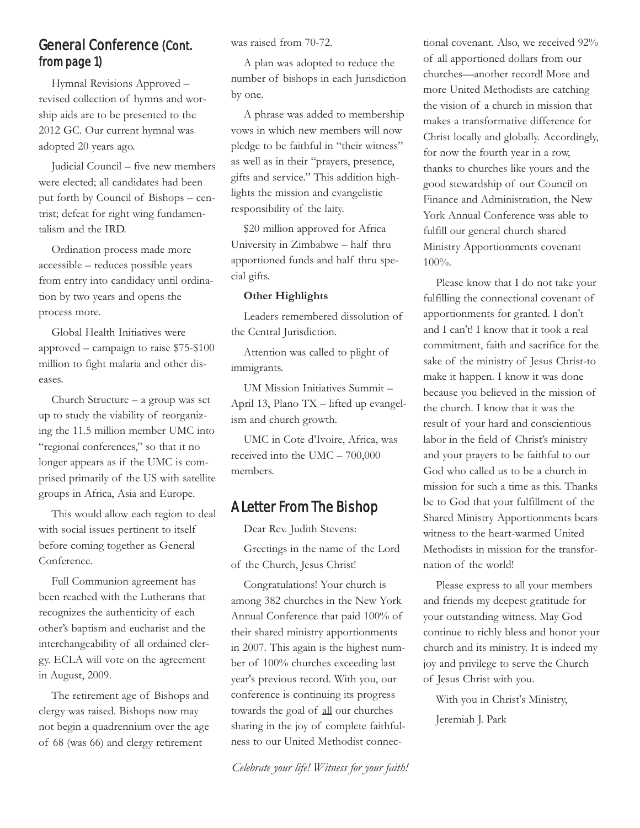## General Conference (Cont. from page 1)

Hymnal Revisions Approved – revised collection of hymns and worship aids are to be presented to the 2012 GC. Our current hymnal was adopted 20 years ago.

Judicial Council – five new members were elected; all candidates had been put forth by Council of Bishops – centrist; defeat for right wing fundamentalism and the IRD.

Ordination process made more accessible – reduces possible years from entry into candidacy until ordination by two years and opens the process more.

Global Health Initiatives were approved – campaign to raise \$75-\$100 million to fight malaria and other diseases.

Church Structure – a group was set up to study the viability of reorganizing the 11.5 million member UMC into "regional conferences," so that it no longer appears as if the UMC is comprised primarily of the US with satellite groups in Africa, Asia and Europe.

This would allow each region to deal with social issues pertinent to itself before coming together as General Conference.

Full Communion agreement has been reached with the Lutherans that recognizes the authenticity of each other's baptism and eucharist and the interchangeability of all ordained clergy. ECLA will vote on the agreement in August, 2009.

The retirement age of Bishops and clergy was raised. Bishops now may not begin a quadrennium over the age of 68 (was 66) and clergy retirement

was raised from 70-72.

A plan was adopted to reduce the number of bishops in each Jurisdiction by one.

A phrase was added to membership vows in which new members will now pledge to be faithful in "their witness" as well as in their "prayers, presence, gifts and service." This addition highlights the mission and evangelistic responsibility of the laity.

\$20 million approved for Africa University in Zimbabwe – half thru apportioned funds and half thru special gifts.

#### **Other Highlights**

Leaders remembered dissolution of the Central Jurisdiction.

Attention was called to plight of immigrants.

UM Mission Initiatives Summit – April 13, Plano TX – lifted up evangelism and church growth.

UMC in Cote d'Ivoire, Africa, was received into the UMC – 700,000 members.

## A Letter From The Bishop

Dear Rev. Judith Stevens:

Greetings in the name of the Lord of the Church, Jesus Christ!

Congratulations! Your church is among 382 churches in the New York Annual Conference that paid 100% of their shared ministry apportionments in 2007. This again is the highest number of 100% churches exceeding last year's previous record. With you, our conference is continuing its progress towards the goal of all our churches sharing in the joy of complete faithfulness to our United Methodist connec-

*Celebrate your life! Witness for your faith!*

tional covenant. Also, we received 92% of all apportioned dollars from our churches—another record! More and more United Methodists are catching the vision of a church in mission that makes a transformative difference for Christ locally and globally. Accordingly, for now the fourth year in a row, thanks to churches like yours and the good stewardship of our Council on Finance and Administration, the New York Annual Conference was able to fulfill our general church shared Ministry Apportionments covenant 100%.

Please know that I do not take your fulfilling the connectional covenant of apportionments for granted. I don't and I can't! I know that it took a real commitment, faith and sacrifice for the sake of the ministry of Jesus Christ-to make it happen. I know it was done because you believed in the mission of the church. I know that it was the result of your hard and conscientious labor in the field of Christ's ministry and your prayers to be faithful to our God who called us to be a church in mission for such a time as this. Thanks be to God that your fulfillment of the Shared Ministry Apportionments bears witness to the heart-warmed United Methodists in mission for the transfornation of the world!

Please express to all your members and friends my deepest gratitude for your outstanding witness. May God continue to richly bless and honor your church and its ministry. It is indeed my joy and privilege to serve the Church of Jesus Christ with you.

With you in Christ's Ministry, Jeremiah J. Park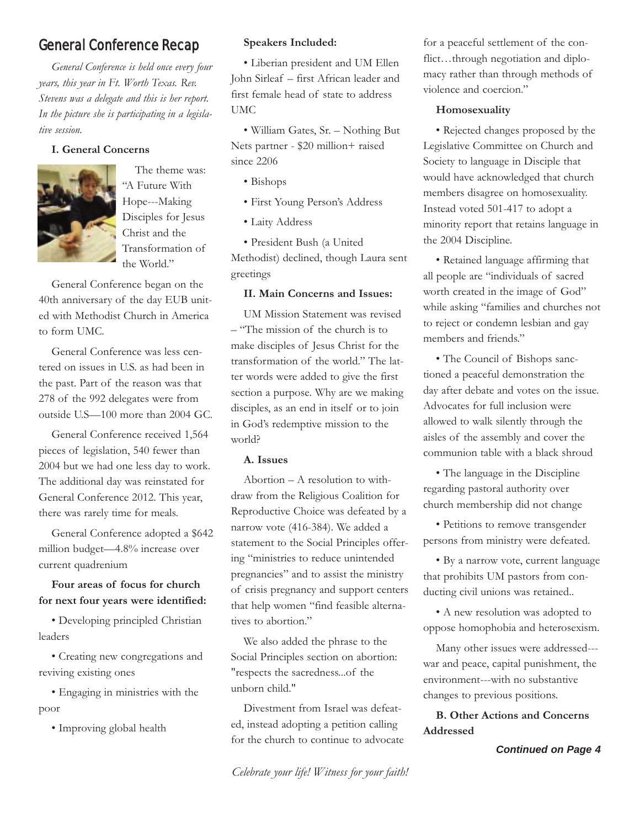## General Conference Recap

*General Conference is held once every four years, this year in Ft. Worth Texas. Rev. Stevens was a delegate and this is her report. In the picture she is participating in a legislative session.*

#### **I. General Concerns**



The theme was: "A Future With Hope---Making Disciples for Jesus Christ and the Transformation of the World."

General Conference began on the 40th anniversary of the day EUB united with Methodist Church in America to form UMC.

General Conference was less centered on issues in U.S. as had been in the past. Part of the reason was that 278 of the 992 delegates were from outside U.S—100 more than 2004 GC.

General Conference received 1,564 pieces of legislation, 540 fewer than 2004 but we had one less day to work. The additional day was reinstated for General Conference 2012. This year, there was rarely time for meals.

General Conference adopted a \$642 million budget—4.8% increase over current quadrenium

### **Four areas of focus for church for next four years were identified:**

• Developing principled Christian leaders

• Creating new congregations and reviving existing ones

• Engaging in ministries with the poor

• Improving global health

#### **Speakers Included:**

• Liberian president and UM Ellen John Sirleaf – first African leader and first female head of state to address UMC

• William Gates, Sr. – Nothing But Nets partner - \$20 million+ raised since 2206

- Bishops
- First Young Person's Address
- Laity Address

• President Bush (a United Methodist) declined, though Laura sent greetings

#### **II. Main Concerns and Issues:**

UM Mission Statement was revised – "The mission of the church is to make disciples of Jesus Christ for the transformation of the world." The latter words were added to give the first section a purpose. Why are we making disciples, as an end in itself or to join in God's redemptive mission to the world?

#### **A. Issues**

Abortion – A resolution to withdraw from the Religious Coalition for Reproductive Choice was defeated by a narrow vote (416-384). We added a statement to the Social Principles offering "ministries to reduce unintended pregnancies" and to assist the ministry of crisis pregnancy and support centers that help women "find feasible alternatives to abortion."

We also added the phrase to the Social Principles section on abortion: "respects the sacredness...of the unborn child."

Divestment from Israel was defeated, instead adopting a petition calling for the church to continue to advocate

*Celebrate your life! Witness for your faith!*

for a peaceful settlement of the conflict…through negotiation and diplomacy rather than through methods of violence and coercion."

#### **Homosexuality**

• Rejected changes proposed by the Legislative Committee on Church and Society to language in Disciple that would have acknowledged that church members disagree on homosexuality. Instead voted 501-417 to adopt a minority report that retains language in the 2004 Discipline.

• Retained language affirming that all people are "individuals of sacred worth created in the image of God" while asking "families and churches not to reject or condemn lesbian and gay members and friends."

• The Council of Bishops sanctioned a peaceful demonstration the day after debate and votes on the issue. Advocates for full inclusion were allowed to walk silently through the aisles of the assembly and cover the communion table with a black shroud

• The language in the Discipline regarding pastoral authority over church membership did not change

• Petitions to remove transgender persons from ministry were defeated.

• By a narrow vote, current language that prohibits UM pastors from conducting civil unions was retained..

• A new resolution was adopted to oppose homophobia and heterosexism.

Many other issues were addressed-- war and peace, capital punishment, the environment---with no substantive changes to previous positions.

**B. Other Actions and Concerns Addressed**

#### *Continued on Page 4*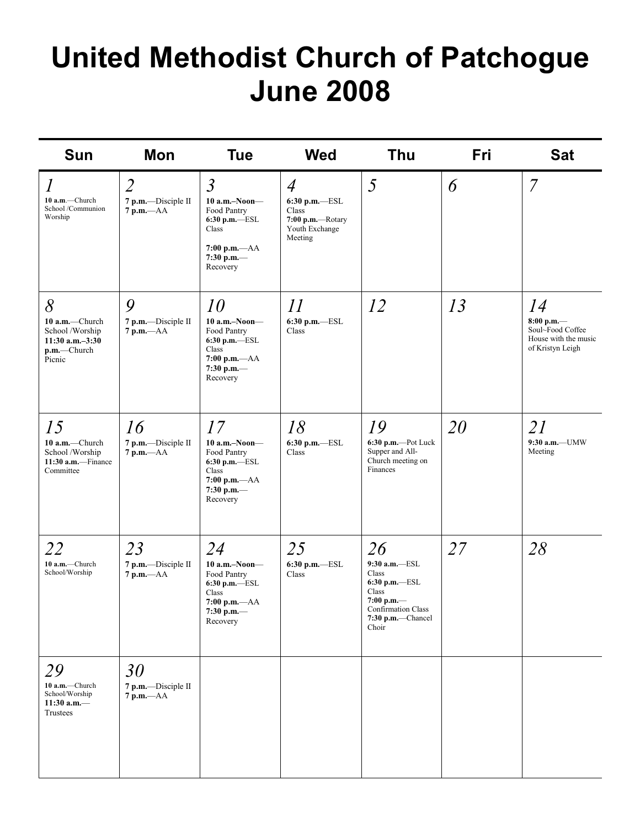# **United Methodist Church of Patchogue June 2008**

| <b>Sun</b>                                                                                                           | Mon                                                  | <b>Tue</b>                                                                                                              | <b>Wed</b>                                                                                | <b>Thu</b>                                                                                                                      | Fri | <b>Sat</b>                                                                         |
|----------------------------------------------------------------------------------------------------------------------|------------------------------------------------------|-------------------------------------------------------------------------------------------------------------------------|-------------------------------------------------------------------------------------------|---------------------------------------------------------------------------------------------------------------------------------|-----|------------------------------------------------------------------------------------|
| $\mathcal{I}% _{M_{1},M_{2}}^{(h,\sigma),(h,\sigma)}(-\varepsilon)$<br>10 a.m.-Church<br>School/Communion<br>Worship | $\overline{2}$<br>7 p.m.-Disciple II<br>$7 p.m. -AA$ | $\overline{3}$<br>$10$ a.m.-Noon-<br>Food Pantry<br>6:30 p.m.-ESL<br>Class<br>$7:00 p.m. -AA$<br>7:30 p.m.-<br>Recovery | $\overline{4}$<br>6:30 p.m.-ESL<br>Class<br>7:00 p.m.-Rotary<br>Youth Exchange<br>Meeting | 5                                                                                                                               | 6   | $\overline{7}$                                                                     |
| 8<br>10 a.m.-Church<br>School /Worship<br>$11:30$ a.m. $-3:30$<br>$p.m.$ —Church<br>Picnic                           | 9<br>7 p.m.-Disciple II<br>$7 p.m. -AA$              | 10<br>$10$ a.m.-Noon-<br>Food Pantry<br>$6:30$ p.m. $-$ ESL<br>Class<br>$7:00 p.m. -AA$<br>7:30 p.m. $-$<br>Recovery    | 11<br>$6:30$ p.m.-ESL<br>Class                                                            | 12                                                                                                                              | 13  | 14<br>$8:00$ p.m.—<br>Soul~Food Coffee<br>House with the music<br>of Kristyn Leigh |
| 15<br>10 a.m.-Church<br>School /Worship<br>11:30 a.m.-Finance<br>Committee                                           | 16<br>7 p.m.-Disciple II<br>$7$ p.m. $-AA$           | 17<br>$10$ a.m.-Noon-<br>Food Pantry<br>$6:30$ p.m.-ESL<br>Class<br>$7:00 p.m. -AA$<br>7:30 p.m.-<br>Recovery           | 18<br>6:30 p.m.-ESL<br>Class                                                              | 19<br>6:30 p.m.-Pot Luck<br>Supper and All-<br>Church meeting on<br>Finances                                                    | 20  | 21<br>9:30 a.m.-UMW<br>Meeting                                                     |
| 22<br>10 a.m.-Church<br>School/Worship                                                                               | 23<br>7 p.m.-Disciple II<br>$7$ p.m. $-AA$           | 24<br>10 a.m.-Noon-<br>Food Pantry<br>6:30 p.m.-ESL<br>Class<br>$7:00$ p.m.— $AA$<br>7:30 p.m.<br>Recovery              | 25<br>$6:30$ p.m.- $-$ ESL<br>Class                                                       | 26<br>9:30 a.m.-ESL<br>Class<br>$6:30$ p.m.- $-$ ESL<br>Class<br>7:00 p.m.—<br>Confirmation Class<br>7:30 p.m.-Chancel<br>Choir | 27  | 28                                                                                 |
| 29<br>10 a.m.-Church<br>School/Worship<br>11:30 a.m. $-$<br>Trustees                                                 | 30<br>7 p.m.-Disciple II<br>$7 p.m. -AA$             |                                                                                                                         |                                                                                           |                                                                                                                                 |     |                                                                                    |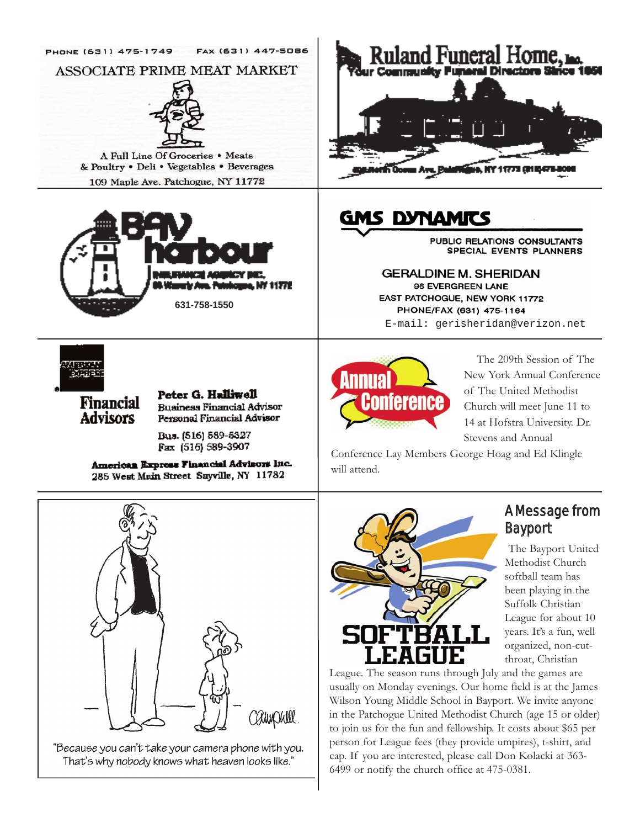

"Because you can't take your camera phone with you. That's why nobody knows what heaven looks like."

CAMPUll.

Wilson Young Middle School in Bayport. We invite anyone in the Patchogue United Methodist Church (age 15 or older) to join us for the fun and fellowship. It costs about \$65 per person for League fees (they provide umpires), t-shirt, and cap. If you are interested, please call Don Kolacki at 363- 6499 or notify the church office at 475-0381.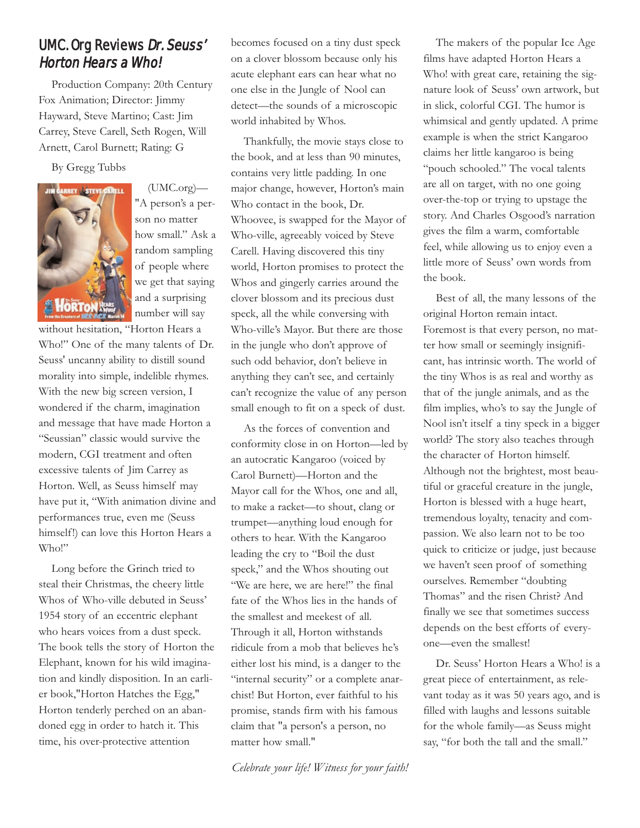## UMC. Org Reviews Dr. Seuss' Horton Hears a Who!

Production Company: 20th Century Fox Animation; Director: Jimmy Hayward, Steve Martino; Cast: Jim Carrey, Steve Carell, Seth Rogen, Will Arnett, Carol Burnett; Rating: G

#### By Gregg Tubbs



(UMC.org)— "A person's a person no matter how small." Ask a random sampling of people where we get that saying and a surprising number will say

without hesitation, "Horton Hears a Who!" One of the many talents of Dr. Seuss' uncanny ability to distill sound morality into simple, indelible rhymes. With the new big screen version, I wondered if the charm, imagination and message that have made Horton a "Seussian" classic would survive the modern, CGI treatment and often excessive talents of Jim Carrey as Horton. Well, as Seuss himself may have put it, "With animation divine and performances true, even me (Seuss himself!) can love this Horton Hears a Who!"

Long before the Grinch tried to steal their Christmas, the cheery little Whos of Who-ville debuted in Seuss' 1954 story of an eccentric elephant who hears voices from a dust speck. The book tells the story of Horton the Elephant, known for his wild imagination and kindly disposition. In an earlier book,"Horton Hatches the Egg," Horton tenderly perched on an abandoned egg in order to hatch it. This time, his over-protective attention

becomes focused on a tiny dust speck on a clover blossom because only his acute elephant ears can hear what no one else in the Jungle of Nool can detect—the sounds of a microscopic world inhabited by Whos.

Thankfully, the movie stays close to the book, and at less than 90 minutes, contains very little padding. In one major change, however, Horton's main Who contact in the book, Dr. Whoovee, is swapped for the Mayor of Who-ville, agreeably voiced by Steve Carell. Having discovered this tiny world, Horton promises to protect the Whos and gingerly carries around the clover blossom and its precious dust speck, all the while conversing with Who-ville's Mayor. But there are those in the jungle who don't approve of such odd behavior, don't believe in anything they can't see, and certainly can't recognize the value of any person small enough to fit on a speck of dust.

As the forces of convention and conformity close in on Horton—led by an autocratic Kangaroo (voiced by Carol Burnett)—Horton and the Mayor call for the Whos, one and all, to make a racket—to shout, clang or trumpet—anything loud enough for others to hear. With the Kangaroo leading the cry to "Boil the dust speck," and the Whos shouting out "We are here, we are here!" the final fate of the Whos lies in the hands of the smallest and meekest of all. Through it all, Horton withstands ridicule from a mob that believes he's either lost his mind, is a danger to the "internal security" or a complete anarchist! But Horton, ever faithful to his promise, stands firm with his famous claim that "a person's a person, no matter how small."

*Celebrate your life! Witness for your faith!*

The makers of the popular Ice Age films have adapted Horton Hears a Who! with great care, retaining the signature look of Seuss' own artwork, but in slick, colorful CGI. The humor is whimsical and gently updated. A prime example is when the strict Kangaroo claims her little kangaroo is being "pouch schooled." The vocal talents are all on target, with no one going over-the-top or trying to upstage the story. And Charles Osgood's narration gives the film a warm, comfortable feel, while allowing us to enjoy even a little more of Seuss' own words from the book.

Best of all, the many lessons of the original Horton remain intact. Foremost is that every person, no matter how small or seemingly insignificant, has intrinsic worth. The world of the tiny Whos is as real and worthy as that of the jungle animals, and as the film implies, who's to say the Jungle of Nool isn't itself a tiny speck in a bigger world? The story also teaches through the character of Horton himself. Although not the brightest, most beautiful or graceful creature in the jungle, Horton is blessed with a huge heart, tremendous loyalty, tenacity and compassion. We also learn not to be too quick to criticize or judge, just because we haven't seen proof of something ourselves. Remember "doubting Thomas" and the risen Christ? And finally we see that sometimes success depends on the best efforts of everyone—even the smallest!

Dr. Seuss' Horton Hears a Who! is a great piece of entertainment, as relevant today as it was 50 years ago, and is filled with laughs and lessons suitable for the whole family—as Seuss might say, "for both the tall and the small."